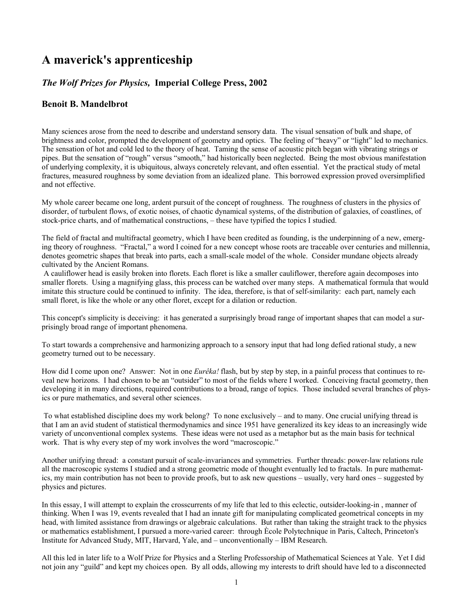# **A maverick's apprenticeship**

# *The Wolf Prizes for Physics,* **Imperial College Press, 2002**

# **Benoit B. Mandelbrot**

Many sciences arose from the need to describe and understand sensory data. The visual sensation of bulk and shape, of brightness and color, prompted the development of geometry and optics. The feeling of "heavy" or "light" led to mechanics. The sensation of hot and cold led to the theory of heat. Taming the sense of acoustic pitch began with vibrating strings or pipes. But the sensation of "rough" versus "smooth," had historically been neglected. Being the most obvious manifestation of underlying complexity, it is ubiquitous, always concretely relevant, and often essential. Yet the practical study of metal fractures, measured roughness by some deviation from an idealized plane. This borrowed expression proved oversimplified and not effective.

My whole career became one long, ardent pursuit of the concept of roughness. The roughness of clusters in the physics of disorder, of turbulent flows, of exotic noises, of chaotic dynamical systems, of the distribution of galaxies, of coastlines, of stock-price charts, and of mathematical constructions, – these have typified the topics I studied.

The field of fractal and multifractal geometry, which I have been credited as founding, is the underpinning of a new, emerging theory of roughness. "Fractal," a word I coined for a new concept whose roots are traceable over centuries and millennia, denotes geometric shapes that break into parts, each a small-scale model of the whole. Consider mundane objects already cultivated by the Ancient Romans.

 A cauliflower head is easily broken into florets. Each floret is like a smaller cauliflower, therefore again decomposes into smaller florets. Using a magnifying glass, this process can be watched over many steps. A mathematical formula that would imitate this structure could be continued to infinity. The idea, therefore, is that of self-similarity: each part, namely each small floret, is like the whole or any other floret, except for a dilation or reduction.

This concept's simplicity is deceiving: it has generated a surprisingly broad range of important shapes that can model a surprisingly broad range of important phenomena.

To start towards a comprehensive and harmonizing approach to a sensory input that had long defied rational study, a new geometry turned out to be necessary.

How did I come upon one? Answer: Not in one *Eurêka!* flash, but by step by step, in a painful process that continues to reveal new horizons. I had chosen to be an "outsider" to most of the fields where I worked. Conceiving fractal geometry, then developing it in many directions, required contributions to a broad, range of topics. Those included several branches of physics or pure mathematics, and several other sciences.

 To what established discipline does my work belong? To none exclusively – and to many. One crucial unifying thread is that I am an avid student of statistical thermodynamics and since 1951 have generalized its key ideas to an increasingly wide variety of unconventional complex systems. These ideas were not used as a metaphor but as the main basis for technical work. That is why every step of my work involves the word "macroscopic."

Another unifying thread: a constant pursuit of scale-invariances and symmetries. Further threads: power-law relations rule all the macroscopic systems I studied and a strong geometric mode of thought eventually led to fractals. In pure mathematics, my main contribution has not been to provide proofs, but to ask new questions – usually, very hard ones – suggested by physics and pictures.

In this essay, I will attempt to explain the crosscurrents of my life that led to this eclectic, outsider-looking-in , manner of thinking. When I was 19, events revealed that I had an innate gift for manipulating complicated geometrical concepts in my head, with limited assistance from drawings or algebraic calculations. But rather than taking the straight track to the physics or mathematics establishment, I pursued a more-varied career: through Ècole Polytechnique in Paris, Caltech, Princeton's Institute for Advanced Study, MIT, Harvard, Yale, and – unconventionally – IBM Research.

All this led in later life to a Wolf Prize for Physics and a Sterling Professorship of Mathematical Sciences at Yale. Yet I did not join any "guild" and kept my choices open. By all odds, allowing my interests to drift should have led to a disconnected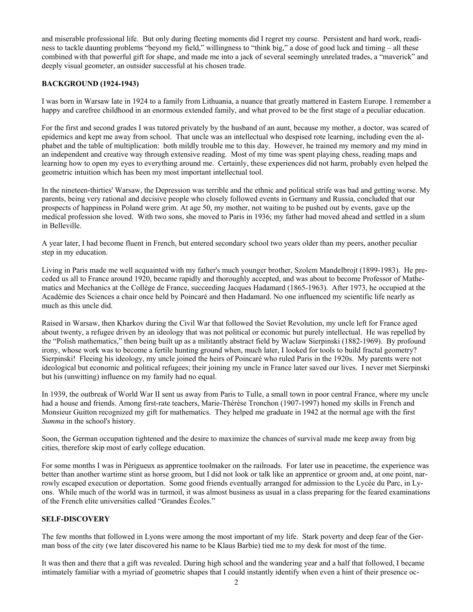and miserable professional life. But only during fleeting moments did I regret my course. Persistent and hard work, readiness to tackle daunting problems "beyond my field," willingness to "think big," a dose of good luck and timing – all these combined with that powerful gift for shape, and made me into a jack of several seemingly unrelated trades, a "maverick" and deeply visual geometer, an outsider successful at his chosen trade.

# **BACKGROUND (1924-1943)**

I was born in Warsaw late in 1924 to a family from Lithuania, a nuance that greatly mattered in Eastern Europe. I remember a happy and carefree childhood in an enormous extended family, and what proved to be the first stage of a peculiar education.

For the first and second grades I was tutored privately by the husband of an aunt, because my mother, a doctor, was scared of epidemics and kept me away from school. That uncle was an intellectual who despised rote learning, including even the alphabet and the table of multiplication: both mildly trouble me to this day. However, he trained my memory and my mind in an independent and creative way through extensive reading. Most of my time was spent playing chess, reading maps and learning how to open my eyes to everything around me. Certainly, these experiences did not harm, probably even helped the geometric intuition which has been my most important intellectual tool.

In the nineteen-thirties' Warsaw, the Depression was terrible and the ethnic and political strife was bad and getting worse. My parents, being very rational and decisive people who closely followed events in Germany and Russia, concluded that our prospects of happiness in Poland were grim. At age 50, my mother, not waiting to be pushed out by events, gave up the medical profession she loved. With two sons, she moved to Paris in 1936; my father had moved ahead and settled in a slum in Belleville.

A year later, I had become fluent in French, but entered secondary school two years older than my peers, another peculiar step in my education.

Living in Paris made me well acquainted with my father's much younger brother, Szolem Mandelbrojt (1899-1983). He preceded us all to France around 1920, became rapidly and thoroughly accepted, and was about to become Professor of Mathematics and Mechanics at the Collège de France, succeeding Jacques Hadamard (1865-1963). After 1973, he occupied at the Académie des Sciences a chair once held by Poincaré and then Hadamard. No one influenced my scientific life nearly as much as this uncle did.

Raised in Warsaw, then Kharkov during the Civil War that followed the Soviet Revolution, my uncle left for France aged about twenty, a refugee driven by an ideology that was not political or economic but purely intellectual. He was repelled by the "Polish mathematics," then being built up as a militantly abstract field by Waclaw Sierpinski (1882-1969). By profound irony, whose work was to become a fertile hunting ground when, much later, I looked for tools to build fractal geometry? Sierpinski! Fleeing his ideology, my uncle joined the heirs of Poincaré who ruled Paris in the 1920s. My parents were not ideological but economic and political refugees; their joining my uncle in France later saved our lives. I never met Sierpinski but his (unwitting) influence on my family had no equal.

In 1939, the outbreak of World War II sent us away from Paris to Tulle, a small town in poor central France, where my uncle had a house and friends. Among first-rate teachers, Marie-Thérèse Tronchon (1907-1997) honed my skills in French and Monsieur Guitton recognized my gift for mathematics. They helped me graduate in 1942 at the normal age with the first *Summa* in the school's history.

Soon, the German occupation tightened and the desire to maximize the chances of survival made me keep away from big cities, therefore skip most of early college education.

For some months I was in Périgueux as apprentice toolmaker on the railroads. For later use in peacetime, the experience was better than another wartime stint as horse groom, but I did not look or talk like an apprentice or groom and, at one point, narrowly escaped execution or deportation. Some good friends eventually arranged for admission to the Lycée du Parc, in Lyons. While much of the world was in turmoil, it was almost business as usual in a class preparing for the feared examinations of the French elite universities called "Grandes Écoles."

# **SELF-DISCOVERY**

The few months that followed in Lyons were among the most important of my life. Stark poverty and deep fear of the German boss of the city (we later discovered his name to be Klaus Barbie) tied me to my desk for most of the time.

It was then and there that a gift was revealed. During high school and the wandering year and a half that followed, I became intimately familiar with a myriad of geometric shapes that I could instantly identify when even a hint of their presence oc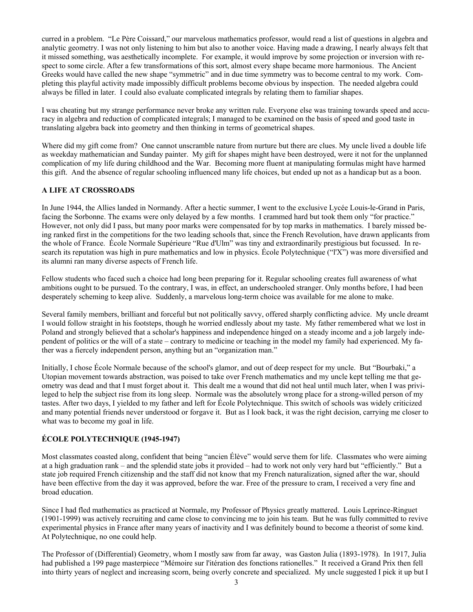curred in a problem. "Le Père Coissard," our marvelous mathematics professor, would read a list of questions in algebra and analytic geometry. I was not only listening to him but also to another voice. Having made a drawing, I nearly always felt that it missed something, was aesthetically incomplete. For example, it would improve by some projection or inversion with respect to some circle. After a few transformations of this sort, almost every shape became more harmonious. The Ancient Greeks would have called the new shape "symmetric" and in due time symmetry was to become central to my work. Completing this playful activity made impossibly difficult problems become obvious by inspection. The needed algebra could always be filled in later. I could also evaluate complicated integrals by relating them to familiar shapes.

I was cheating but my strange performance never broke any written rule. Everyone else was training towards speed and accuracy in algebra and reduction of complicated integrals; I managed to be examined on the basis of speed and good taste in translating algebra back into geometry and then thinking in terms of geometrical shapes.

Where did my gift come from? One cannot unscramble nature from nurture but there are clues. My uncle lived a double life as weekday mathematician and Sunday painter. My gift for shapes might have been destroyed, were it not for the unplanned complication of my life during childhood and the War. Becoming more fluent at manipulating formulas might have harmed this gift. And the absence of regular schooling influenced many life choices, but ended up not as a handicap but as a boon.

# **A LIFE AT CROSSROADS**

In June 1944, the Allies landed in Normandy. After a hectic summer, I went to the exclusive Lycée Louis-le-Grand in Paris, facing the Sorbonne. The exams were only delayed by a few months. I crammed hard but took them only "for practice." However, not only did I pass, but many poor marks were compensated for by top marks in mathematics. I barely missed being ranked first in the competitions for the two leading schools that, since the French Revolution, have drawn applicants from the whole of France. École Normale Supérieure "Rue d'Ulm" was tiny and extraordinarily prestigious but focussed. In research its reputation was high in pure mathematics and low in physics. École Polytechnique ("l'X") was more diversified and its alumni ran many diverse aspects of French life.

Fellow students who faced such a choice had long been preparing for it. Regular schooling creates full awareness of what ambitions ought to be pursued. To the contrary, I was, in effect, an underschooled stranger. Only months before, I had been desperately scheming to keep alive. Suddenly, a marvelous long-term choice was available for me alone to make.

Several family members, brilliant and forceful but not politically savvy, offered sharply conflicting advice. My uncle dreamt I would follow straight in his footsteps, though he worried endlessly about my taste. My father remembered what we lost in Poland and strongly believed that a scholar's happiness and independence hinged on a steady income and a job largely independent of politics or the will of a state – contrary to medicine or teaching in the model my family had experienced. My father was a fiercely independent person, anything but an "organization man."

Initially, I chose École Normale because of the school's glamor, and out of deep respect for my uncle. But "Bourbaki," a Utopian movement towards abstraction, was poised to take over French mathematics and my uncle kept telling me that geometry was dead and that I must forget about it. This dealt me a wound that did not heal until much later, when I was privileged to help the subject rise from its long sleep. Normale was the absolutely wrong place for a strong-willed person of my tastes. After two days, I yielded to my father and left for École Polytechnique. This switch of schools was widely criticized and many potential friends never understood or forgave it. But as I look back, it was the right decision, carrying me closer to what was to become my goal in life.

# **ÉCOLE POLYTECHNIQUE (1945-1947)**

Most classmates coasted along, confident that being "ancien Élève" would serve them for life. Classmates who were aiming at a high graduation rank – and the splendid state jobs it provided – had to work not only very hard but "efficiently." But a state job required French citizenship and the staff did not know that my French naturalization, signed after the war, should have been effective from the day it was approved, before the war. Free of the pressure to cram, I received a very fine and broad education.

Since I had fled mathematics as practiced at Normale, my Professor of Physics greatly mattered. Louis Leprince-Ringuet (1901-1999) was actively recruiting and came close to convincing me to join his team. But he was fully committed to revive experimental physics in France after many years of inactivity and I was definitely bound to become a theorist of some kind. At Polytechnique, no one could help.

The Professor of (Differential) Geometry, whom I mostly saw from far away, was Gaston Julia (1893-1978). In 1917, Julia had published a 199 page masterpiece "Mémoire sur l'itération des fonctions rationelles." It received a Grand Prix then fell into thirty years of neglect and increasing scorn, being overly concrete and specialized. My uncle suggested I pick it up but I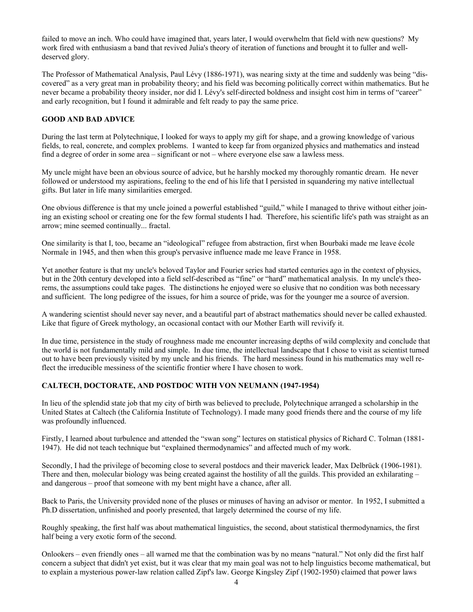failed to move an inch. Who could have imagined that, years later, I would overwhelm that field with new questions? My work fired with enthusiasm a band that revived Julia's theory of iteration of functions and brought it to fuller and welldeserved glory.

The Professor of Mathematical Analysis, Paul Lévy (1886-1971), was nearing sixty at the time and suddenly was being "discovered" as a very great man in probability theory; and his field was becoming politically correct within mathematics. But he never became a probability theory insider, nor did I. Lévy's self-directed boldness and insight cost him in terms of "career" and early recognition, but I found it admirable and felt ready to pay the same price.

# **GOOD AND BAD ADVICE**

During the last term at Polytechnique, I looked for ways to apply my gift for shape, and a growing knowledge of various fields, to real, concrete, and complex problems. I wanted to keep far from organized physics and mathematics and instead find a degree of order in some area – significant or not – where everyone else saw a lawless mess.

My uncle might have been an obvious source of advice, but he harshly mocked my thoroughly romantic dream. He never followed or understood my aspirations, feeling to the end of his life that I persisted in squandering my native intellectual gifts. But later in life many similarities emerged.

One obvious difference is that my uncle joined a powerful established "guild," while I managed to thrive without either joining an existing school or creating one for the few formal students I had. Therefore, his scientific life's path was straight as an arrow; mine seemed continually... fractal.

One similarity is that I, too, became an "ideological" refugee from abstraction, first when Bourbaki made me leave école Normale in 1945, and then when this group's pervasive influence made me leave France in 1958.

Yet another feature is that my uncle's beloved Taylor and Fourier series had started centuries ago in the context of physics, but in the 20th century developed into a field self-described as "fine" or "hard" mathematical analysis. In my uncle's theorems, the assumptions could take pages. The distinctions he enjoyed were so elusive that no condition was both necessary and sufficient. The long pedigree of the issues, for him a source of pride, was for the younger me a source of aversion.

A wandering scientist should never say never, and a beautiful part of abstract mathematics should never be called exhausted. Like that figure of Greek mythology, an occasional contact with our Mother Earth will revivify it.

In due time, persistence in the study of roughness made me encounter increasing depths of wild complexity and conclude that the world is not fundamentally mild and simple. In due time, the intellectual landscape that I chose to visit as scientist turned out to have been previously visited by my uncle and his friends. The hard messiness found in his mathematics may well reflect the irreducible messiness of the scientific frontier where I have chosen to work.

# **CALTECH, DOCTORATE, AND POSTDOC WITH VON NEUMANN (1947-1954)**

In lieu of the splendid state job that my city of birth was believed to preclude, Polytechnique arranged a scholarship in the United States at Caltech (the California Institute of Technology). I made many good friends there and the course of my life was profoundly influenced.

Firstly, I learned about turbulence and attended the "swan song" lectures on statistical physics of Richard C. Tolman (1881- 1947). He did not teach technique but "explained thermodynamics" and affected much of my work.

Secondly, I had the privilege of becoming close to several postdocs and their maverick leader, Max Delbrück (1906-1981). There and then, molecular biology was being created against the hostility of all the guilds. This provided an exhilarating – and dangerous – proof that someone with my bent might have a chance, after all.

Back to Paris, the University provided none of the pluses or minuses of having an advisor or mentor. In 1952, I submitted a Ph.D dissertation, unfinished and poorly presented, that largely determined the course of my life.

Roughly speaking, the first half was about mathematical linguistics, the second, about statistical thermodynamics, the first half being a very exotic form of the second.

Onlookers – even friendly ones – all warned me that the combination was by no means "natural." Not only did the first half concern a subject that didn't yet exist, but it was clear that my main goal was not to help linguistics become mathematical, but to explain a mysterious power-law relation called Zipf's law. George Kingsley Zipf (1902-1950) claimed that power laws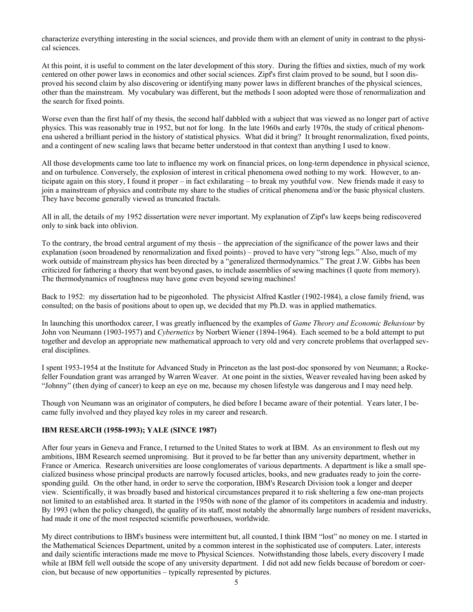characterize everything interesting in the social sciences, and provide them with an element of unity in contrast to the physical sciences.

At this point, it is useful to comment on the later development of this story. During the fifties and sixties, much of my work centered on other power laws in economics and other social sciences. Zipf's first claim proved to be sound, but I soon disproved his second claim by also discovering or identifying many power laws in different branches of the physical sciences, other than the mainstream. My vocabulary was different, but the methods I soon adopted were those of renormalization and the search for fixed points.

Worse even than the first half of my thesis, the second half dabbled with a subject that was viewed as no longer part of active physics. This was reasonably true in 1952, but not for long. In the late 1960s and early 1970s, the study of critical phenomena ushered a brilliant period in the history of statistical physics. What did it bring? It brought renormalization, fixed points, and a contingent of new scaling laws that became better understood in that context than anything I used to know.

All those developments came too late to influence my work on financial prices, on long-term dependence in physical science, and on turbulence. Conversely, the explosion of interest in critical phenomena owed nothing to my work. However, to anticipate again on this story, I found it proper – in fact exhilarating – to break my youthful vow. New friends made it easy to join a mainstream of physics and contribute my share to the studies of critical phenomena and/or the basic physical clusters. They have become generally viewed as truncated fractals.

All in all, the details of my 1952 dissertation were never important. My explanation of Zipf's law keeps being rediscovered only to sink back into oblivion.

To the contrary, the broad central argument of my thesis – the appreciation of the significance of the power laws and their explanation (soon broadened by renormalization and fixed points) – proved to have very "strong legs." Also, much of my work outside of mainstream physics has been directed by a "generalized thermodynamics." The great J.W. Gibbs has been criticized for fathering a theory that went beyond gases, to include assemblies of sewing machines (I quote from memory). The thermodynamics of roughness may have gone even beyond sewing machines!

Back to 1952: my dissertation had to be pigeonholed. The physicist Alfred Kastler (1902-1984), a close family friend, was consulted; on the basis of positions about to open up, we decided that my Ph.D. was in applied mathematics.

In launching this unorthodox career, I was greatly influenced by the examples of *Game Theory and Economic Behaviour* by John von Neumann (1903-1957) and *Cybernetics* by Norbert Wiener (1894-1964). Each seemed to be a bold attempt to put together and develop an appropriate new mathematical approach to very old and very concrete problems that overlapped several disciplines.

I spent 1953-1954 at the Institute for Advanced Study in Princeton as the last post-doc sponsored by von Neumann; a Rockefeller Foundation grant was arranged by Warren Weaver. At one point in the sixties, Weaver revealed having been asked by "Johnny" (then dying of cancer) to keep an eye on me, because my chosen lifestyle was dangerous and I may need help.

Though von Neumann was an originator of computers, he died before I became aware of their potential. Years later, I became fully involved and they played key roles in my career and research.

# **IBM RESEARCH (1958-1993); YALE (SINCE 1987)**

After four years in Geneva and France, I returned to the United States to work at IBM. As an environment to flesh out my ambitions, IBM Research seemed unpromising. But it proved to be far better than any university department, whether in France or America. Research universities are loose conglomerates of various departments. A department is like a small specialized business whose principal products are narrowly focused articles, books, and new graduates ready to join the corresponding guild. On the other hand, in order to serve the corporation, IBM's Research Division took a longer and deeper view. Scientifically, it was broadly based and historical circumstances prepared it to risk sheltering a few one-man projects not limited to an established area. It started in the 1950s with none of the glamor of its competitors in academia and industry. By 1993 (when the policy changed), the quality of its staff, most notably the abnormally large numbers of resident mavericks, had made it one of the most respected scientific powerhouses, worldwide.

My direct contributions to IBM's business were intermittent but, all counted, I think IBM "lost" no money on me. I started in the Mathematical Sciences Department, united by a common interest in the sophisticated use of computers. Later, interests and daily scientific interactions made me move to Physical Sciences. Notwithstanding those labels, every discovery I made while at IBM fell well outside the scope of any university department. I did not add new fields because of boredom or coercion, but because of new opportunities – typically represented by pictures.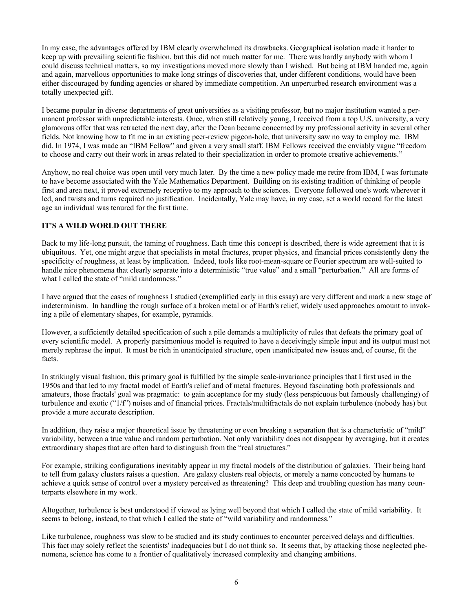In my case, the advantages offered by IBM clearly overwhelmed its drawbacks. Geographical isolation made it harder to keep up with prevailing scientific fashion, but this did not much matter for me. There was hardly anybody with whom I could discuss technical matters, so my investigations moved more slowly than I wished. But being at IBM handed me, again and again, marvellous opportunities to make long strings of discoveries that, under different conditions, would have been either discouraged by funding agencies or shared by immediate competition. An unperturbed research environment was a totally unexpected gift.

I became popular in diverse departments of great universities as a visiting professor, but no major institution wanted a permanent professor with unpredictable interests. Once, when still relatively young, I received from a top U.S. university, a very glamorous offer that was retracted the next day, after the Dean became concerned by my professional activity in several other fields. Not knowing how to fit me in an existing peer-review pigeon-hole, that university saw no way to employ me. IBM did. In 1974, I was made an "IBM Fellow" and given a very small staff. IBM Fellows received the enviably vague "freedom to choose and carry out their work in areas related to their specialization in order to promote creative achievements."

Anyhow, no real choice was open until very much later. By the time a new policy made me retire from IBM, I was fortunate to have become associated with the Yale Mathematics Department. Building on its existing tradition of thinking of people first and area next, it proved extremely receptive to my approach to the sciences. Everyone followed one's work wherever it led, and twists and turns required no justification. Incidentally, Yale may have, in my case, set a world record for the latest age an individual was tenured for the first time.

# **IT'S A WILD WORLD OUT THERE**

Back to my life-long pursuit, the taming of roughness. Each time this concept is described, there is wide agreement that it is ubiquitous. Yet, one might argue that specialists in metal fractures, proper physics, and financial prices consistently deny the specificity of roughness, at least by implication. Indeed, tools like root-mean-square or Fourier spectrum are well-suited to handle nice phenomena that clearly separate into a deterministic "true value" and a small "perturbation." All are forms of what I called the state of "mild randomness."

I have argued that the cases of roughness I studied (exemplified early in this essay) are very different and mark a new stage of indeterminism. In handling the rough surface of a broken metal or of Earth's relief, widely used approaches amount to invoking a pile of elementary shapes, for example, pyramids.

However, a sufficiently detailed specification of such a pile demands a multiplicity of rules that defeats the primary goal of every scientific model. A properly parsimonious model is required to have a deceivingly simple input and its output must not merely rephrase the input. It must be rich in unanticipated structure, open unanticipated new issues and, of course, fit the facts.

In strikingly visual fashion, this primary goal is fulfilled by the simple scale-invariance principles that I first used in the 1950s and that led to my fractal model of Earth's relief and of metal fractures. Beyond fascinating both professionals and amateurs, those fractals' goal was pragmatic: to gain acceptance for my study (less perspicuous but famously challenging) of turbulence and exotic ("1/f") noises and of financial prices. Fractals/multifractals do not explain turbulence (nobody has) but provide a more accurate description.

In addition, they raise a major theoretical issue by threatening or even breaking a separation that is a characteristic of "mild" variability, between a true value and random perturbation. Not only variability does not disappear by averaging, but it creates extraordinary shapes that are often hard to distinguish from the "real structures."

For example, striking configurations inevitably appear in my fractal models of the distribution of galaxies. Their being hard to tell from galaxy clusters raises a question. Are galaxy clusters real objects, or merely a name concocted by humans to achieve a quick sense of control over a mystery perceived as threatening? This deep and troubling question has many counterparts elsewhere in my work.

Altogether, turbulence is best understood if viewed as lying well beyond that which I called the state of mild variability. It seems to belong, instead, to that which I called the state of "wild variability and randomness."

Like turbulence, roughness was slow to be studied and its study continues to encounter perceived delays and difficulties. This fact may solely reflect the scientists' inadequacies but I do not think so. It seems that, by attacking those neglected phenomena, science has come to a frontier of qualitatively increased complexity and changing ambitions.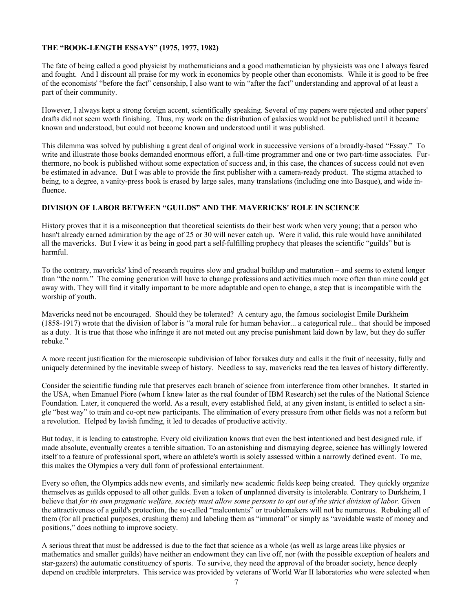#### **THE "BOOK-LENGTH ESSAYS" (1975, 1977, 1982)**

The fate of being called a good physicist by mathematicians and a good mathematician by physicists was one I always feared and fought. And I discount all praise for my work in economics by people other than economists. While it is good to be free of the economists' "before the fact" censorship, I also want to win "after the fact" understanding and approval of at least a part of their community.

However, I always kept a strong foreign accent, scientifically speaking. Several of my papers were rejected and other papers' drafts did not seem worth finishing. Thus, my work on the distribution of galaxies would not be published until it became known and understood, but could not become known and understood until it was published.

This dilemma was solved by publishing a great deal of original work in successive versions of a broadly-based "Essay." To write and illustrate those books demanded enormous effort, a full-time programmer and one or two part-time associates. Furthermore, no book is published without some expectation of success and, in this case, the chances of success could not even be estimated in advance. But I was able to provide the first publisher with a camera-ready product. The stigma attached to being, to a degree, a vanity-press book is erased by large sales, many translations (including one into Basque), and wide influence.

#### **DIVISION OF LABOR BETWEEN "GUILDS" AND THE MAVERICKS' ROLE IN SCIENCE**

History proves that it is a misconception that theoretical scientists do their best work when very young; that a person who hasn't already earned admiration by the age of 25 or 30 will never catch up. Were it valid, this rule would have annihilated all the mavericks. But I view it as being in good part a self-fulfilling prophecy that pleases the scientific "guilds" but is harmful.

To the contrary, mavericks' kind of research requires slow and gradual buildup and maturation – and seems to extend longer than "the norm." The coming generation will have to change professions and activities much more often than mine could get away with. They will find it vitally important to be more adaptable and open to change, a step that is incompatible with the worship of youth.

Mavericks need not be encouraged. Should they be tolerated? A century ago, the famous sociologist Emile Durkheim (1858-1917) wrote that the division of labor is "a moral rule for human behavior... a categorical rule... that should be imposed as a duty. It is true that those who infringe it are not meted out any precise punishment laid down by law, but they do suffer rebuke."

A more recent justification for the microscopic subdivision of labor forsakes duty and calls it the fruit of necessity, fully and uniquely determined by the inevitable sweep of history. Needless to say, mavericks read the tea leaves of history differently.

Consider the scientific funding rule that preserves each branch of science from interference from other branches. It started in the USA, when Emanuel Piore (whom I knew later as the real founder of IBM Research) set the rules of the National Science Foundation. Later, it conquered the world. As a result, every established field, at any given instant, is entitled to select a single "best way" to train and co-opt new participants. The elimination of every pressure from other fields was not a reform but a revolution. Helped by lavish funding, it led to decades of productive activity.

But today, it is leading to catastrophe. Every old civilization knows that even the best intentioned and best designed rule, if made absolute, eventually creates a terrible situation. To an astonishing and dismaying degree, science has willingly lowered itself to a feature of professional sport, where an athlete's worth is solely assessed within a narrowly defined event. To me, this makes the Olympics a very dull form of professional entertainment.

Every so often, the Olympics adds new events, and similarly new academic fields keep being created. They quickly organize themselves as guilds opposed to all other guilds. Even a token of unplanned diversity is intolerable. Contrary to Durkheim, I believe that *for its own pragmatic welfare, society must allow some persons to opt out of the strict division of labor.* Given the attractiveness of a guild's protection, the so-called "malcontents" or troublemakers will not be numerous. Rebuking all of them (for all practical purposes, crushing them) and labeling them as "immoral" or simply as "avoidable waste of money and positions," does nothing to improve society.

A serious threat that must be addressed is due to the fact that science as a whole (as well as large areas like physics or mathematics and smaller guilds) have neither an endowment they can live off, nor (with the possible exception of healers and star-gazers) the automatic constituency of sports. To survive, they need the approval of the broader society, hence deeply depend on credible interpreters. This service was provided by veterans of World War II laboratories who were selected when